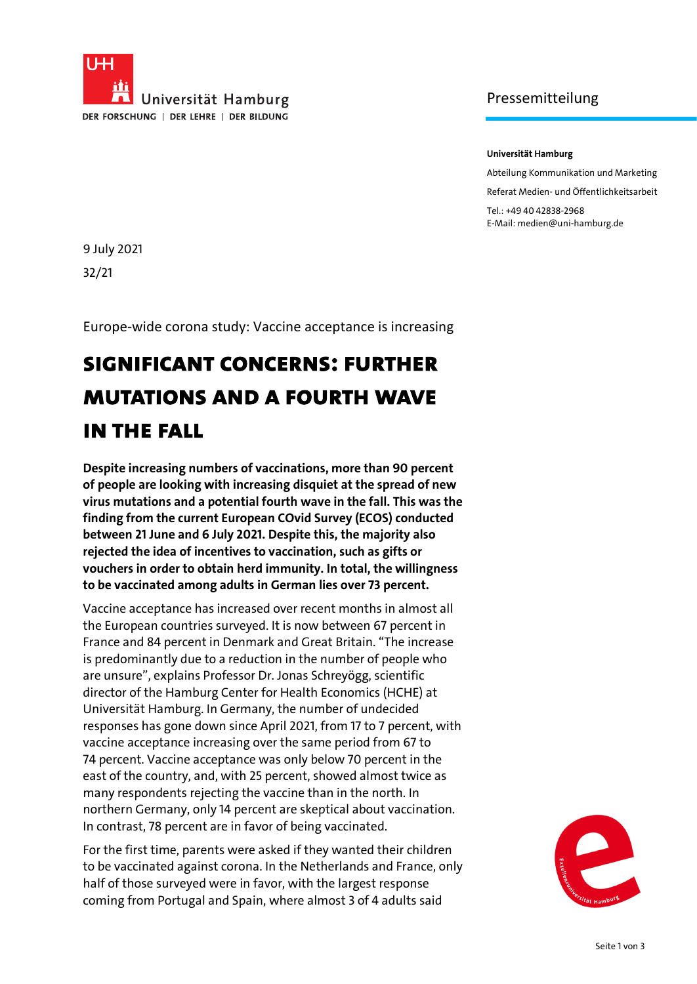

## Pressemitteilung

#### **Universität Hamburg**

Abteilung Kommunikation und Marketing

Referat Medien- und Öffentlichkeitsarbeit

Tel.: +49 40 42838-2968 E-Mail: medien@uni-hamburg.de

9 July 2021 32/21

Europe-wide corona study: Vaccine acceptance is increasing

# **Significant concerns: further mutations and a fourth wave in the fall**

**Despite increasing numbers of vaccinations, more than 90 percent of people are looking with increasing disquiet at the spread of new virus mutations and a potential fourth wave in the fall. This was the finding from the current European COvid Survey (ECOS) conducted between 21 June and 6 July 2021. Despite this, the majority also rejected the idea of incentives to vaccination, such as gifts or vouchers in order to obtain herd immunity. In total, the willingness to be vaccinated among adults in German lies over 73 percent.**

Vaccine acceptance has increased over recent months in almost all the European countries surveyed. It is now between 67 percent in France and 84 percent in Denmark and Great Britain. "The increase is predominantly due to a reduction in the number of people who are unsure", explains Professor Dr. Jonas Schreyögg, scientific director of the Hamburg Center for Health Economics (HCHE) at Universität Hamburg. In Germany, the number of undecided responses has gone down since April 2021, from 17 to 7 percent, with vaccine acceptance increasing over the same period from 67 to 74 percent. Vaccine acceptance was only below 70 percent in the east of the country, and, with 25 percent, showed almost twice as many respondents rejecting the vaccine than in the north. In northern Germany, only 14 percent are skeptical about vaccination. In contrast, 78 percent are in favor of being vaccinated.

For the first time, parents were asked if they wanted their children to be vaccinated against corona. In the Netherlands and France, only half of those surveyed were in favor, with the largest response coming from Portugal and Spain, where almost 3 of 4 adults said

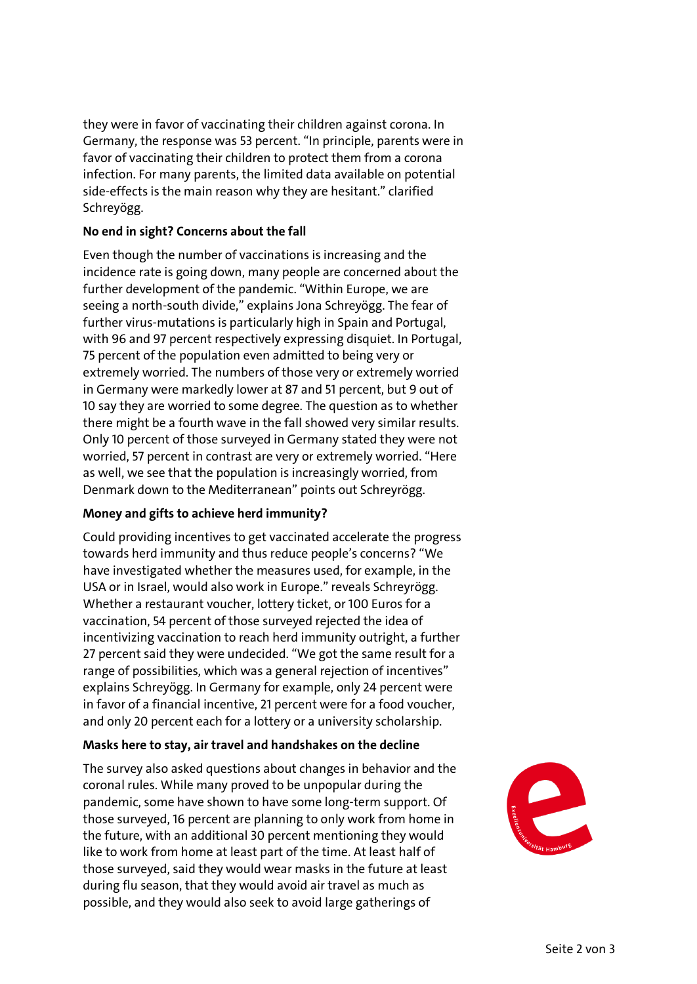they were in favor of vaccinating their children against corona. In Germany, the response was 53 percent. "In principle, parents were in favor of vaccinating their children to protect them from a corona infection. For many parents, the limited data available on potential side-effects is the main reason why they are hesitant." clarified Schreyögg.

#### **No end in sight? Concerns about the fall**

Even though the number of vaccinations is increasing and the incidence rate is going down, many people are concerned about the further development of the pandemic. "Within Europe, we are seeing a north-south divide," explains Jona Schreyögg. The fear of further virus-mutations is particularly high in Spain and Portugal, with 96 and 97 percent respectively expressing disquiet. In Portugal, 75 percent of the population even admitted to being very or extremely worried. The numbers of those very or extremely worried in Germany were markedly lower at 87 and 51 percent, but 9 out of 10 say they are worried to some degree. The question as to whether there might be a fourth wave in the fall showed very similar results. Only 10 percent of those surveyed in Germany stated they were not worried, 57 percent in contrast are very or extremely worried. "Here as well, we see that the population is increasingly worried, from Denmark down to the Mediterranean" points out Schreyrögg.

### **Money and gifts to achieve herd immunity?**

Could providing incentives to get vaccinated accelerate the progress towards herd immunity and thus reduce people's concerns? "We have investigated whether the measures used, for example, in the USA or in Israel, would also work in Europe." reveals Schreyrögg. Whether a restaurant voucher, lottery ticket, or 100 Euros for a vaccination, 54 percent of those surveyed rejected the idea of incentivizing vaccination to reach herd immunity outright, a further 27 percent said they were undecided. "We got the same result for a range of possibilities, which was a general rejection of incentives" explains Schreyögg. In Germany for example, only 24 percent were in favor of a financial incentive, 21 percent were for a food voucher, and only 20 percent each for a lottery or a university scholarship.

### **Masks here to stay, air travel and handshakes on the decline**

The survey also asked questions about changes in behavior and the coronal rules. While many proved to be unpopular during the pandemic, some have shown to have some long-term support. Of those surveyed, 16 percent are planning to only work from home in the future, with an additional 30 percent mentioning they would like to work from home at least part of the time. At least half of those surveyed, said they would wear masks in the future at least during flu season, that they would avoid air travel as much as possible, and they would also seek to avoid large gatherings of